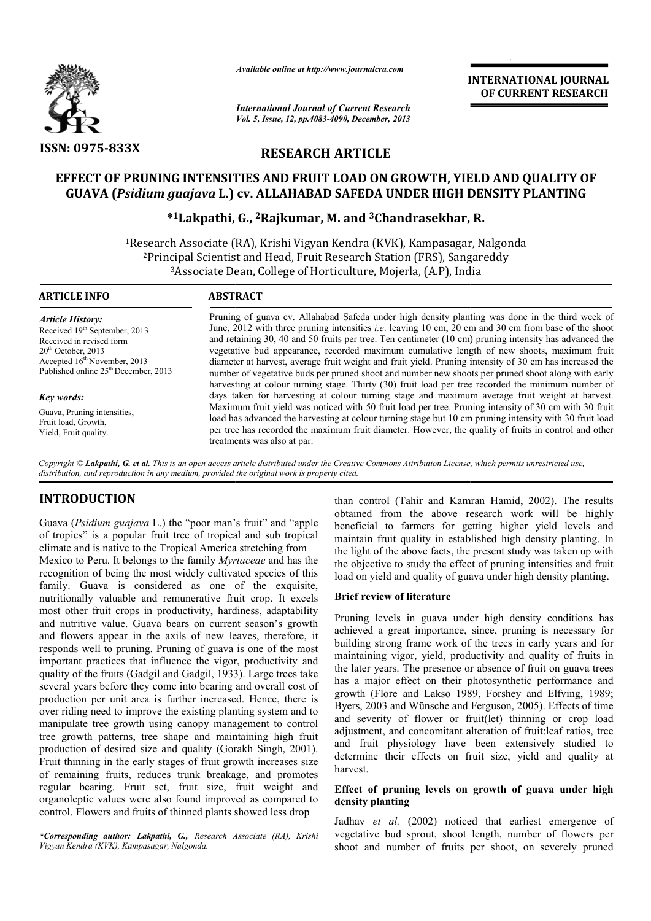

*Available online at http://www.journalcra.com*

# RESEARCH ARTICLE

# EFFECT OF PRUNING INTENSITIES AND FRUIT LOAD ON GROWTH, YIELD AND QUALITY OF GUAVA (*Psidium guajava* L.) cv. ALLAHABAD SAFEDA UNDER HIGH DENSITY PLANTING

# *guajava* L.) cv. ALLAHABAD SAFEDA UNDER HIGH DE<br>\*1Lakpathi, G., <sup>2</sup>Rajkumar, M. and <sup>3</sup>Chandrasekhar, R.

|                                                                                                                                                                                                                                                                                                                                                                                                                                                                                                                                                                                                                                                                                                                                                                                                                                                                                                                                                                                                                                                                                                                                           |                                                                                                                                                                                                                                                                                                                                                                                                                                                                                                                                                                                                                                                                                                                                                      | <b>INTERNATIONAL JOURNAL</b><br>OF CURRENT RESEARCH                                                                                                                                                                                                                                                                                                                                                                                                                                                                                                                                                                                                                                                                                                                                                                                                                                                                                          |  |  |  |  |  |  |  |  |  |  |
|-------------------------------------------------------------------------------------------------------------------------------------------------------------------------------------------------------------------------------------------------------------------------------------------------------------------------------------------------------------------------------------------------------------------------------------------------------------------------------------------------------------------------------------------------------------------------------------------------------------------------------------------------------------------------------------------------------------------------------------------------------------------------------------------------------------------------------------------------------------------------------------------------------------------------------------------------------------------------------------------------------------------------------------------------------------------------------------------------------------------------------------------|------------------------------------------------------------------------------------------------------------------------------------------------------------------------------------------------------------------------------------------------------------------------------------------------------------------------------------------------------------------------------------------------------------------------------------------------------------------------------------------------------------------------------------------------------------------------------------------------------------------------------------------------------------------------------------------------------------------------------------------------------|----------------------------------------------------------------------------------------------------------------------------------------------------------------------------------------------------------------------------------------------------------------------------------------------------------------------------------------------------------------------------------------------------------------------------------------------------------------------------------------------------------------------------------------------------------------------------------------------------------------------------------------------------------------------------------------------------------------------------------------------------------------------------------------------------------------------------------------------------------------------------------------------------------------------------------------------|--|--|--|--|--|--|--|--|--|--|
|                                                                                                                                                                                                                                                                                                                                                                                                                                                                                                                                                                                                                                                                                                                                                                                                                                                                                                                                                                                                                                                                                                                                           | <b>International Journal of Current Research</b><br>Vol. 5, Issue, 12, pp.4083-4090, December, 2013                                                                                                                                                                                                                                                                                                                                                                                                                                                                                                                                                                                                                                                  |                                                                                                                                                                                                                                                                                                                                                                                                                                                                                                                                                                                                                                                                                                                                                                                                                                                                                                                                              |  |  |  |  |  |  |  |  |  |  |
| ISSN: 0975-833X<br><b>RESEARCH ARTICLE</b>                                                                                                                                                                                                                                                                                                                                                                                                                                                                                                                                                                                                                                                                                                                                                                                                                                                                                                                                                                                                                                                                                                |                                                                                                                                                                                                                                                                                                                                                                                                                                                                                                                                                                                                                                                                                                                                                      |                                                                                                                                                                                                                                                                                                                                                                                                                                                                                                                                                                                                                                                                                                                                                                                                                                                                                                                                              |  |  |  |  |  |  |  |  |  |  |
| EFFECT OF PRUNING INTENSITIES AND FRUIT LOAD ON GROWTH, YIELD AND QUALITY OF<br>GUAVA (Psidium guajava L.) cv. ALLAHABAD SAFEDA UNDER HIGH DENSITY PLANTING                                                                                                                                                                                                                                                                                                                                                                                                                                                                                                                                                                                                                                                                                                                                                                                                                                                                                                                                                                               |                                                                                                                                                                                                                                                                                                                                                                                                                                                                                                                                                                                                                                                                                                                                                      |                                                                                                                                                                                                                                                                                                                                                                                                                                                                                                                                                                                                                                                                                                                                                                                                                                                                                                                                              |  |  |  |  |  |  |  |  |  |  |
| *1Lakpathi, G., <sup>2</sup> Rajkumar, M. and <sup>3</sup> Chandrasekhar, R.                                                                                                                                                                                                                                                                                                                                                                                                                                                                                                                                                                                                                                                                                                                                                                                                                                                                                                                                                                                                                                                              |                                                                                                                                                                                                                                                                                                                                                                                                                                                                                                                                                                                                                                                                                                                                                      |                                                                                                                                                                                                                                                                                                                                                                                                                                                                                                                                                                                                                                                                                                                                                                                                                                                                                                                                              |  |  |  |  |  |  |  |  |  |  |
| <sup>1</sup> Research Associate (RA), Krishi Vigyan Kendra (KVK), Kampasagar, Nalgonda<br><sup>2</sup> Principal Scientist and Head, Fruit Research Station (FRS), Sangareddy<br><sup>3</sup> Associate Dean, College of Horticulture, Mojerla, (A.P), India                                                                                                                                                                                                                                                                                                                                                                                                                                                                                                                                                                                                                                                                                                                                                                                                                                                                              |                                                                                                                                                                                                                                                                                                                                                                                                                                                                                                                                                                                                                                                                                                                                                      |                                                                                                                                                                                                                                                                                                                                                                                                                                                                                                                                                                                                                                                                                                                                                                                                                                                                                                                                              |  |  |  |  |  |  |  |  |  |  |
| <b>ARTICLE INFO</b>                                                                                                                                                                                                                                                                                                                                                                                                                                                                                                                                                                                                                                                                                                                                                                                                                                                                                                                                                                                                                                                                                                                       | <b>ABSTRACT</b>                                                                                                                                                                                                                                                                                                                                                                                                                                                                                                                                                                                                                                                                                                                                      |                                                                                                                                                                                                                                                                                                                                                                                                                                                                                                                                                                                                                                                                                                                                                                                                                                                                                                                                              |  |  |  |  |  |  |  |  |  |  |
| <b>Article History:</b><br>Received 19th September, 2013<br>Received in revised form<br>20 <sup>th</sup> October, 2013<br>Accepted 16 <sup>th</sup> November, 2013<br>Published online 25 <sup>th</sup> December, 2013                                                                                                                                                                                                                                                                                                                                                                                                                                                                                                                                                                                                                                                                                                                                                                                                                                                                                                                    | Pruning of guava cv. Allahabad Safeda under high density planting was done in the third week of<br>June, 2012 with three pruning intensities i.e. leaving 10 cm, 20 cm and 30 cm from base of the shoot<br>and retaining $30, 40$ and $50$ fruits per tree. Ten centimeter $(10 \text{ cm})$ pruning intensity has advanced the<br>vegetative bud appearance, recorded maximum cumulative length of new shoots, maximum fruit<br>diameter at harvest, average fruit weight and fruit yield. Pruning intensity of 30 cm has increased the<br>number of vegetative buds per pruned shoot and number new shoots per pruned shoot along with early<br>harvesting at colour turning stage. Thirty (30) fruit load per tree recorded the minimum number of |                                                                                                                                                                                                                                                                                                                                                                                                                                                                                                                                                                                                                                                                                                                                                                                                                                                                                                                                              |  |  |  |  |  |  |  |  |  |  |
| <b>Key words:</b>                                                                                                                                                                                                                                                                                                                                                                                                                                                                                                                                                                                                                                                                                                                                                                                                                                                                                                                                                                                                                                                                                                                         |                                                                                                                                                                                                                                                                                                                                                                                                                                                                                                                                                                                                                                                                                                                                                      | days taken for harvesting at colour turning stage and maximum average fruit weight at harvest.                                                                                                                                                                                                                                                                                                                                                                                                                                                                                                                                                                                                                                                                                                                                                                                                                                               |  |  |  |  |  |  |  |  |  |  |
| Guava, Pruning intensities,<br>Fruit load, Growth,<br>Yield, Fruit quality.                                                                                                                                                                                                                                                                                                                                                                                                                                                                                                                                                                                                                                                                                                                                                                                                                                                                                                                                                                                                                                                               | Maximum fruit yield was noticed with 50 fruit load per tree. Pruning intensity of 30 cm with 30 fruit<br>load has advanced the harvesting at colour turning stage but 10 cm pruning intensity with 30 fruit load<br>per tree has recorded the maximum fruit diameter. However, the quality of fruits in control and other<br>treatments was also at par.                                                                                                                                                                                                                                                                                                                                                                                             |                                                                                                                                                                                                                                                                                                                                                                                                                                                                                                                                                                                                                                                                                                                                                                                                                                                                                                                                              |  |  |  |  |  |  |  |  |  |  |
| distribution, and reproduction in any medium, provided the original work is properly cited.                                                                                                                                                                                                                                                                                                                                                                                                                                                                                                                                                                                                                                                                                                                                                                                                                                                                                                                                                                                                                                               |                                                                                                                                                                                                                                                                                                                                                                                                                                                                                                                                                                                                                                                                                                                                                      | Copyright © Lakpathi, G. et al. This is an open access article distributed under the Creative Commons Attribution License, which permits unrestricted use,                                                                                                                                                                                                                                                                                                                                                                                                                                                                                                                                                                                                                                                                                                                                                                                   |  |  |  |  |  |  |  |  |  |  |
| <b>INTRODUCTION</b><br>Guava (Psidium guajava L.) the "poor man's fruit" and "apple<br>of tropics" is a popular fruit tree of tropical and sub tropical<br>climate and is native to the Tropical America stretching from<br>Mexico to Peru. It belongs to the family Myrtaceae and has the<br>recognition of being the most widely cultivated species of this<br>family. Guava is considered as one of the exquisite,<br>nutritionally valuable and remunerative fruit crop. It excels                                                                                                                                                                                                                                                                                                                                                                                                                                                                                                                                                                                                                                                    |                                                                                                                                                                                                                                                                                                                                                                                                                                                                                                                                                                                                                                                                                                                                                      | than control (Tahir and Kamran Hamid, 2002). The results<br>obtained from the above research work will be highly<br>beneficial to farmers for getting higher yield levels and<br>maintain fruit quality in established high density planting. In<br>the light of the above facts, the present study was taken up with<br>the objective to study the effect of pruning intensities and fruit<br>load on yield and quality of guava under high density planting.<br><b>Brief review of literature</b>                                                                                                                                                                                                                                                                                                                                                                                                                                          |  |  |  |  |  |  |  |  |  |  |
| most other fruit crops in productivity, hardiness, adaptability<br>and nutritive value. Guava bears on current season's growth<br>and flowers appear in the axils of new leaves, therefore, it<br>responds well to pruning. Pruning of guava is one of the most<br>important practices that influence the vigor, productivity and<br>quality of the fruits (Gadgil and Gadgil, 1933). Large trees take<br>several years before they come into bearing and overall cost of<br>production per unit area is further increased. Hence, there is<br>over riding need to improve the existing planting system and to<br>manipulate tree growth using canopy management to control<br>tree growth patterns, tree shape and maintaining high fruit<br>production of desired size and quality (Gorakh Singh, 2001).<br>Fruit thinning in the early stages of fruit growth increases size<br>of remaining fruits, reduces trunk breakage, and promotes<br>regular bearing. Fruit set, fruit size, fruit weight and<br>organoleptic values were also found improved as compared to<br>control. Flowers and fruits of thinned plants showed less drop |                                                                                                                                                                                                                                                                                                                                                                                                                                                                                                                                                                                                                                                                                                                                                      | Pruning levels in guava under high density conditions has<br>achieved a great importance, since, pruning is necessary for<br>building strong frame work of the trees in early years and for<br>maintaining vigor, yield, productivity and quality of fruits in<br>the later years. The presence or absence of fruit on guava trees<br>has a major effect on their photosynthetic performance and<br>growth (Flore and Lakso 1989, Forshey and Elfving, 1989;<br>Byers, 2003 and Wünsche and Ferguson, 2005). Effects of time<br>and severity of flower or fruit(let) thinning or crop load<br>adjustment, and concomitant alteration of fruit:leaf ratios, tree<br>and fruit physiology have been extensively studied to<br>determine their effects on fruit size, yield and quality at<br>harvest.<br>Effect of pruning levels on growth of guava under high<br>density planting<br>Jadhav et al. (2002) noticed that earliest emergence of |  |  |  |  |  |  |  |  |  |  |
| *Corresponding author: Lakpathi, G., Research Associate (RA), Krishi<br>Vigyan Kendra (KVK), Kampasagar, Nalgonda.                                                                                                                                                                                                                                                                                                                                                                                                                                                                                                                                                                                                                                                                                                                                                                                                                                                                                                                                                                                                                        |                                                                                                                                                                                                                                                                                                                                                                                                                                                                                                                                                                                                                                                                                                                                                      | vegetative bud sprout, shoot length, number of flowers per<br>shoot and number of fruits per shoot, on severely pruned                                                                                                                                                                                                                                                                                                                                                                                                                                                                                                                                                                                                                                                                                                                                                                                                                       |  |  |  |  |  |  |  |  |  |  |

## INTRODUCTION

#### Brief review of literature

#### Effect of pruning levels on growth of guava under high density planting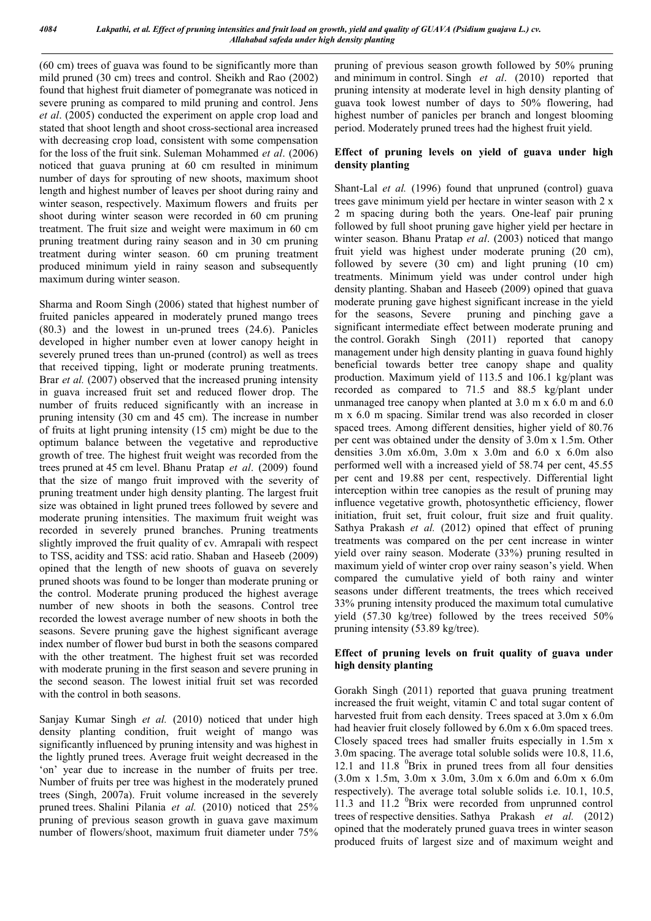(60 cm) trees of guava was found to be significantly more than mild pruned (30 cm) trees and control. Sheikh and Rao (2002) found that highest fruit diameter of pomegranate was noticed in severe pruning as compared to mild pruning and control. Jens *et al*. (2005) conducted the experiment on apple crop load and stated that shoot length and shoot cross-sectional area increased with decreasing crop load, consistent with some compensation for the loss of the fruit sink. Suleman Mohammed *et al*. (2006) noticed that guava pruning at 60 cm resulted in minimum number of days for sprouting of new shoots, maximum shoot length and highest number of leaves per shoot during rainy and winter season, respectively. Maximum flowers and fruits per shoot during winter season were recorded in 60 cm pruning treatment. The fruit size and weight were maximum in 60 cm pruning treatment during rainy season and in 30 cm pruning treatment during winter season. 60 cm pruning treatment produced minimum yield in rainy season and subsequently maximum during winter season.

Sharma and Room Singh (2006) stated that highest number of fruited panicles appeared in moderately pruned mango trees (80.3) and the lowest in un-pruned trees (24.6). Panicles developed in higher number even at lower canopy height in severely pruned trees than un-pruned (control) as well as trees that received tipping, light or moderate pruning treatments. Brar *et al.* (2007) observed that the increased pruning intensity in guava increased fruit set and reduced flower drop. The number of fruits reduced significantly with an increase in pruning intensity (30 cm and 45 cm). The increase in number of fruits at light pruning intensity (15 cm) might be due to the optimum balance between the vegetative and reproductive growth of tree. The highest fruit weight was recorded from the trees pruned at 45 cm level. Bhanu Pratap *et al*. (2009) found that the size of mango fruit improved with the severity of pruning treatment under high density planting. The largest fruit size was obtained in light pruned trees followed by severe and moderate pruning intensities. The maximum fruit weight was recorded in severely pruned branches. Pruning treatments slightly improved the fruit quality of cv. Amrapali with respect to TSS, acidity and TSS: acid ratio. Shaban and Haseeb (2009) opined that the length of new shoots of guava on severely pruned shoots was found to be longer than moderate pruning or the control. Moderate pruning produced the highest average number of new shoots in both the seasons. Control tree recorded the lowest average number of new shoots in both the seasons. Severe pruning gave the highest significant average index number of flower bud burst in both the seasons compared with the other treatment. The highest fruit set was recorded with moderate pruning in the first season and severe pruning in the second season. The lowest initial fruit set was recorded with the control in both seasons.

Sanjay Kumar Singh *et al.* (2010) noticed that under high density planting condition, fruit weight of mango was significantly influenced by pruning intensity and was highest in the lightly pruned trees. Average fruit weight decreased in the 'on' year due to increase in the number of fruits per tree. Number of fruits per tree was highest in the moderately pruned trees (Singh, 2007a). Fruit volume increased in the severely pruned trees. Shalini Pilania *et al.* (2010) noticed that 25% pruning of previous season growth in guava gave maximum number of flowers/shoot, maximum fruit diameter under 75% pruning of previous season growth followed by 50% pruning and minimum in control. Singh *et al*. (2010) reported that pruning intensity at moderate level in high density planting of guava took lowest number of days to 50% flowering, had highest number of panicles per branch and longest blooming period. Moderately pruned trees had the highest fruit yield.

#### Effect of pruning levels on yield of guava under high density planting

Shant-Lal *et al.* (1996) found that unpruned (control) guava trees gave minimum yield per hectare in winter season with 2 x 2 m spacing during both the years. One-leaf pair pruning followed by full shoot pruning gave higher yield per hectare in winter season. Bhanu Pratap *et al*. (2003) noticed that mango fruit yield was highest under moderate pruning (20 cm), followed by severe (30 cm) and light pruning (10 cm) treatments. Minimum yield was under control under high density planting. Shaban and Haseeb (2009) opined that guava moderate pruning gave highest significant increase in the yield for the seasons, Severe pruning and pinching gave a significant intermediate effect between moderate pruning and the control. Gorakh Singh (2011) reported that canopy management under high density planting in guava found highly beneficial towards better tree canopy shape and quality production. Maximum yield of 113.5 and 106.1 kg/plant was recorded as compared to 71.5 and 88.5 kg/plant under unmanaged tree canopy when planted at 3.0 m x 6.0 m and 6.0 m x 6.0 m spacing. Similar trend was also recorded in closer spaced trees. Among different densities, higher yield of 80.76 per cent was obtained under the density of 3.0m x 1.5m. Other densities 3.0m x6.0m, 3.0m x 3.0m and 6.0 x 6.0m also performed well with a increased yield of 58.74 per cent, 45.55 per cent and 19.88 per cent, respectively. Differential light interception within tree canopies as the result of pruning may influence vegetative growth, photosynthetic efficiency, flower initiation, fruit set, fruit colour, fruit size and fruit quality. Sathya Prakash *et al.* (2012) opined that effect of pruning treatments was compared on the per cent increase in winter yield over rainy season. Moderate (33%) pruning resulted in maximum yield of winter crop over rainy season's yield. When compared the cumulative yield of both rainy and winter seasons under different treatments, the trees which received 33% pruning intensity produced the maximum total cumulative yield (57.30 kg/tree) followed by the trees received 50% pruning intensity (53.89 kg/tree).

#### Effect of pruning levels on fruit quality of guava under high density planting

Gorakh Singh (2011) reported that guava pruning treatment increased the fruit weight, vitamin C and total sugar content of harvested fruit from each density. Trees spaced at  $3.0$ m x  $6.0$ m had heavier fruit closely followed by 6.0m x 6.0m spaced trees. Closely spaced trees had smaller fruits especially in 1.5m x 3.0m spacing. The average total soluble solids were 10.8, 11.6, 12.1 and 11.8 <sup>0</sup>Brix in pruned trees from all four densities (3.0m x 1.5m, 3.0m x 3.0m, 3.0m x 6.0m and 6.0m x 6.0m respectively). The average total soluble solids i.e. 10.1, 10.5, 11.3 and 11.2 <sup>0</sup>Brix were recorded from unprunned control trees of respective densities. Sathya Prakash *et al.* (2012) opined that the moderately pruned guava trees in winter season produced fruits of largest size and of maximum weight and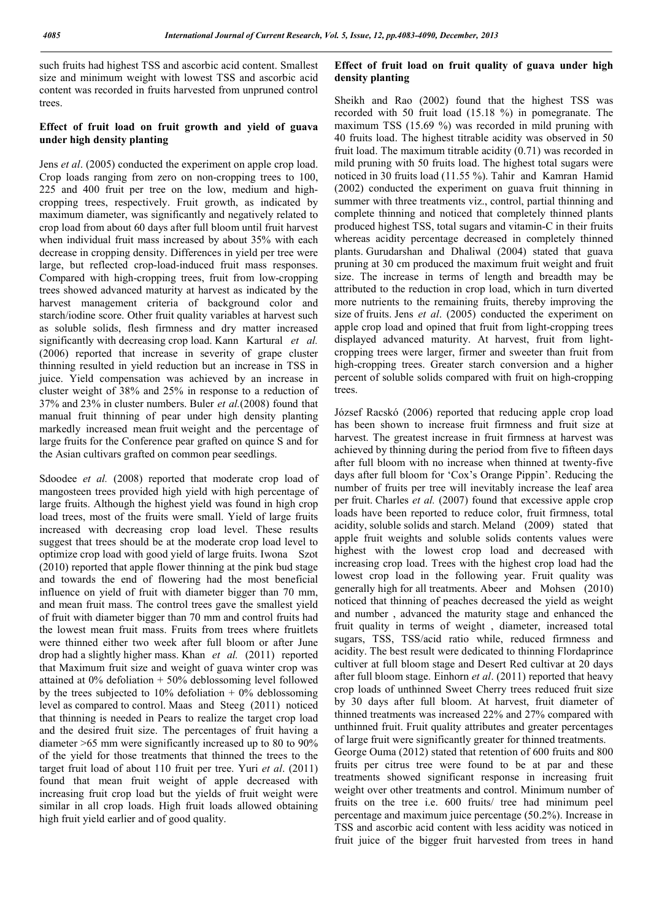such fruits had highest TSS and ascorbic acid content. Smallest size and minimum weight with lowest TSS and ascorbic acid content was recorded in fruits harvested from unpruned control trees.

## Effect of fruit load on fruit growth and yield of guava under high density planting

Jens *et al*. (2005) conducted the experiment on apple crop load. Crop loads ranging from zero on non-cropping trees to 100, 225 and 400 fruit per tree on the low, medium and highcropping trees, respectively. Fruit growth, as indicated by maximum diameter, was significantly and negatively related to crop load from about 60 days after full bloom until fruit harvest when individual fruit mass increased by about 35% with each decrease in cropping density. Differences in yield per tree were large, but reflected crop-load-induced fruit mass responses. Compared with high-cropping trees, fruit from low-cropping trees showed advanced maturity at harvest as indicated by the harvest management criteria of background color and starch/iodine score. Other fruit quality variables at harvest such as soluble solids, flesh firmness and dry matter increased significantly with decreasing crop load. Kann Kartural *et al.* (2006) reported that increase in severity of grape cluster thinning resulted in yield reduction but an increase in TSS in juice. Yield compensation was achieved by an increase in cluster weight of 38% and 25% in response to a reduction of 37% and 23% in cluster numbers. Buler *et al.*(2008) found that manual fruit thinning of pear under high density planting markedly increased mean fruit weight and the percentage of large fruits for the Conference pear grafted on quince S and for the Asian cultivars grafted on common pear seedlings.

Sdoodee *et al.* (2008) reported that moderate crop load of mangosteen trees provided high yield with high percentage of large fruits. Although the highest yield was found in high crop load trees, most of the fruits were small. Yield of large fruits increased with decreasing crop load level. These results suggest that trees should be at the moderate crop load level to optimize crop load with good yield of large fruits. Iwona Szot (2010) reported that apple flower thinning at the pink bud stage and towards the end of flowering had the most beneficial influence on yield of fruit with diameter bigger than 70 mm, and mean fruit mass. The control trees gave the smallest yield of fruit with diameter bigger than 70 mm and control fruits had the lowest mean fruit mass. Fruits from trees where fruitlets were thinned either two week after full bloom or after June drop had a slightly higher mass. Khan *et al.* (2011) reported that Maximum fruit size and weight of guava winter crop was attained at 0% defoliation + 50% deblossoming level followed by the trees subjected to 10% defoliation  $+$  0% deblossoming level as compared to control. Maas and Steeg (2011) noticed that thinning is needed in Pears to realize the target crop load and the desired fruit size. The percentages of fruit having a diameter >65 mm were significantly increased up to 80 to 90% of the yield for those treatments that thinned the trees to the target fruit load of about 110 fruit per tree. Yuri *et al*. (2011) found that mean fruit weight of apple decreased with increasing fruit crop load but the yields of fruit weight were similar in all crop loads. High fruit loads allowed obtaining high fruit yield earlier and of good quality.

#### Effect of fruit load on fruit quality of guava under high density planting

Sheikh and Rao (2002) found that the highest TSS was recorded with 50 fruit load (15.18 %) in pomegranate. The maximum TSS (15.69 %) was recorded in mild pruning with 40 fruits load. The highest titrable acidity was observed in 50 fruit load. The maximum titrable acidity (0.71) was recorded in mild pruning with 50 fruits load. The highest total sugars were noticed in 30 fruits load (11.55 %). Tahir and Kamran Hamid (2002) conducted the experiment on guava fruit thinning in summer with three treatments viz., control, partial thinning and complete thinning and noticed that completely thinned plants produced highest TSS, total sugars and vitamin-C in their fruits whereas acidity percentage decreased in completely thinned plants. Gurudarshan and Dhaliwal (2004) stated that guava pruning at 30 cm produced the maximum fruit weight and fruit size. The increase in terms of length and breadth may be attributed to the reduction in crop load, which in turn diverted more nutrients to the remaining fruits, thereby improving the size of fruits. Jens *et al*. (2005) conducted the experiment on apple crop load and opined that fruit from light-cropping trees displayed advanced maturity. At harvest, fruit from lightcropping trees were larger, firmer and sweeter than fruit from high-cropping trees. Greater starch conversion and a higher percent of soluble solids compared with fruit on high-cropping trees.

József Racskó (2006) reported that reducing apple crop load has been shown to increase fruit firmness and fruit size at harvest. The greatest increase in fruit firmness at harvest was achieved by thinning during the period from five to fifteen days after full bloom with no increase when thinned at twenty-five days after full bloom for 'Cox's Orange Pippin'. Reducing the number of fruits per tree will inevitably increase the leaf area per fruit. Charles *et al.* (2007) found that excessive apple crop loads have been reported to reduce color, fruit firmness, total acidity, soluble solids and starch. Meland (2009) stated that apple fruit weights and soluble solids contents values were highest with the lowest crop load and decreased with increasing crop load. Trees with the highest crop load had the lowest crop load in the following year. Fruit quality was generally high for all treatments. Abeer and Mohsen (2010) noticed that thinning of peaches decreased the yield as weight and number , advanced the maturity stage and enhanced the fruit quality in terms of weight , diameter, increased total sugars, TSS, TSS/acid ratio while, reduced firmness and acidity. The best result were dedicated to thinning Flordaprince cultiver at full bloom stage and Desert Red cultivar at 20 days after full bloom stage. Einhorn *et al*. (2011) reported that heavy crop loads of unthinned Sweet Cherry trees reduced fruit size by 30 days after full bloom. At harvest, fruit diameter of thinned treatments was increased 22% and 27% compared with unthinned fruit. Fruit quality attributes and greater percentages of large fruit were significantly greater for thinned treatments. George Ouma (2012) stated that retention of 600 fruits and 800 fruits per citrus tree were found to be at par and these treatments showed significant response in increasing fruit weight over other treatments and control. Minimum number of fruits on the tree i.e. 600 fruits/ tree had minimum peel percentage and maximum juice percentage (50.2%). Increase in TSS and ascorbic acid content with less acidity was noticed in fruit juice of the bigger fruit harvested from trees in hand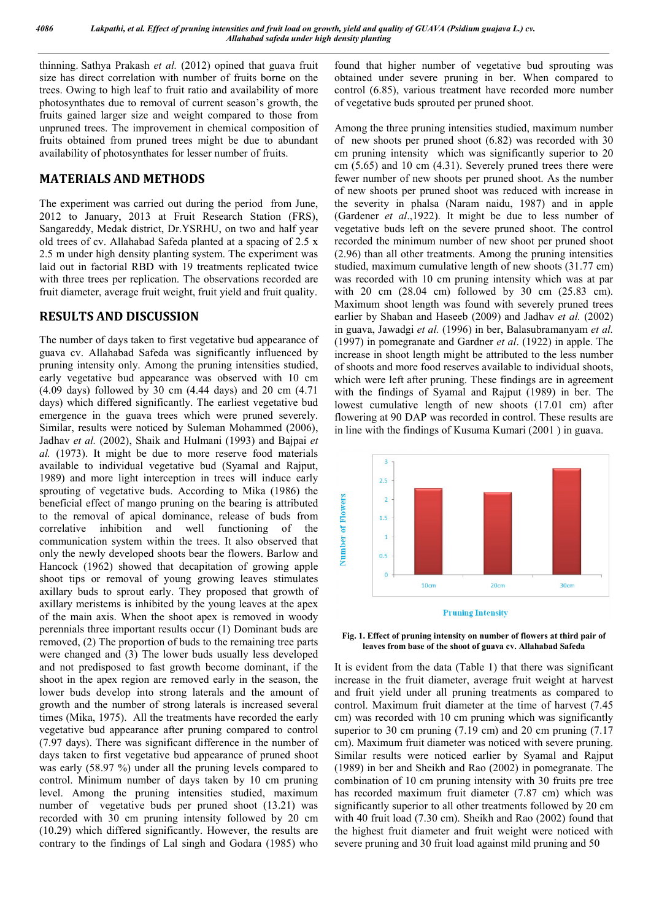thinning. Sathya Prakash *et al.* (2012) opined that guava fruit size has direct correlation with number of fruits borne on the trees. Owing to high leaf to fruit ratio and availability of more photosynthates due to removal of current season's growth, the fruits gained larger size and weight compared to those from unpruned trees. The improvement in chemical composition of fruits obtained from pruned trees might be due to abundant availability of photosynthates for lesser number of fruits.

### MATERIALS AND METHODS

The experiment was carried out during the period from June, 2012 to January, 2013 at Fruit Research Station (FRS), Sangareddy, Medak district, Dr.YSRHU, on two and half year old trees of cv. Allahabad Safeda planted at a spacing of 2.5 x 2.5 m under high density planting system. The experiment was laid out in factorial RBD with 19 treatments replicated twice with three trees per replication. The observations recorded are fruit diameter, average fruit weight, fruit yield and fruit quality.

## RESULTS AND DISCUSSION

The number of days taken to first vegetative bud appearance of guava cv. Allahabad Safeda was significantly influenced by pruning intensity only. Among the pruning intensities studied, early vegetative bud appearance was observed with 10 cm (4.09 days) followed by 30 cm (4.44 days) and 20 cm (4.71 days) which differed significantly. The earliest vegetative bud emergence in the guava trees which were pruned severely. Similar, results were noticed by Suleman Mohammed (2006), Jadhav *et al.* (2002), Shaik and Hulmani (1993) and Bajpai *et al.* (1973). It might be due to more reserve food materials available to individual vegetative bud (Syamal and Rajput, 1989) and more light interception in trees will induce early sprouting of vegetative buds. According to Mika (1986) the beneficial effect of mango pruning on the bearing is attributed to the removal of apical dominance, release of buds from correlative inhibition and well functioning of the communication system within the trees. It also observed that only the newly developed shoots bear the flowers. Barlow and Hancock (1962) showed that decapitation of growing apple shoot tips or removal of young growing leaves stimulates axillary buds to sprout early. They proposed that growth of axillary meristems is inhibited by the young leaves at the apex of the main axis. When the shoot apex is removed in woody perennials three important results occur (1) Dominant buds are removed, (2) The proportion of buds to the remaining tree parts were changed and (3) The lower buds usually less developed and not predisposed to fast growth become dominant, if the shoot in the apex region are removed early in the season, the lower buds develop into strong laterals and the amount of growth and the number of strong laterals is increased several times (Mika, 1975). All the treatments have recorded the early vegetative bud appearance after pruning compared to control (7.97 days). There was significant difference in the number of days taken to first vegetative bud appearance of pruned shoot was early (58.97 %) under all the pruning levels compared to control. Minimum number of days taken by 10 cm pruning level. Among the pruning intensities studied, maximum number of vegetative buds per pruned shoot (13.21) was recorded with 30 cm pruning intensity followed by 20 cm (10.29) which differed significantly. However, the results are contrary to the findings of Lal singh and Godara (1985) who

found that higher number of vegetative bud sprouting was obtained under severe pruning in ber. When compared to control (6.85), various treatment have recorded more number of vegetative buds sprouted per pruned shoot.

Among the three pruning intensities studied, maximum number of new shoots per pruned shoot (6.82) was recorded with 30 cm pruning intensity which was significantly superior to 20 cm (5.65) and 10 cm (4.31). Severely pruned trees there were fewer number of new shoots per pruned shoot. As the number of new shoots per pruned shoot was reduced with increase in the severity in phalsa (Naram naidu, 1987) and in apple (Gardener *et al*.,1922). It might be due to less number of vegetative buds left on the severe pruned shoot. The control recorded the minimum number of new shoot per pruned shoot (2.96) than all other treatments. Among the pruning intensities studied, maximum cumulative length of new shoots (31.77 cm) was recorded with 10 cm pruning intensity which was at par with 20 cm (28.04 cm) followed by 30 cm (25.83 cm). Maximum shoot length was found with severely pruned trees earlier by Shaban and Haseeb (2009) and Jadhav *et al.* (2002) in guava, Jawadgi *et al.* (1996) in ber, Balasubramanyam *et al.* (1997) in pomegranate and Gardner *et al*. (1922) in apple. The increase in shoot length might be attributed to the less number of shoots and more food reserves available to individual shoots, which were left after pruning. These findings are in agreement with the findings of Syamal and Rajput (1989) in ber. The lowest cumulative length of new shoots (17.01 cm) after flowering at 90 DAP was recorded in control. These results are in line with the findings of Kusuma Kumari (2001 ) in guava.



Fig. 1. Effect of pruning intensity on number of flowers at third pair of leaves from base of the shoot of guava cv. Allahabad Safeda

It is evident from the data (Table 1) that there was significant increase in the fruit diameter, average fruit weight at harvest and fruit yield under all pruning treatments as compared to control. Maximum fruit diameter at the time of harvest (7.45 cm) was recorded with 10 cm pruning which was significantly superior to 30 cm pruning (7.19 cm) and 20 cm pruning (7.17 cm). Maximum fruit diameter was noticed with severe pruning. Similar results were noticed earlier by Syamal and Rajput (1989) in ber and Sheikh and Rao (2002) in pomegranate. The combination of 10 cm pruning intensity with 30 fruits pre tree has recorded maximum fruit diameter (7.87 cm) which was significantly superior to all other treatments followed by 20 cm with 40 fruit load (7.30 cm). Sheikh and Rao (2002) found that the highest fruit diameter and fruit weight were noticed with severe pruning and 30 fruit load against mild pruning and 50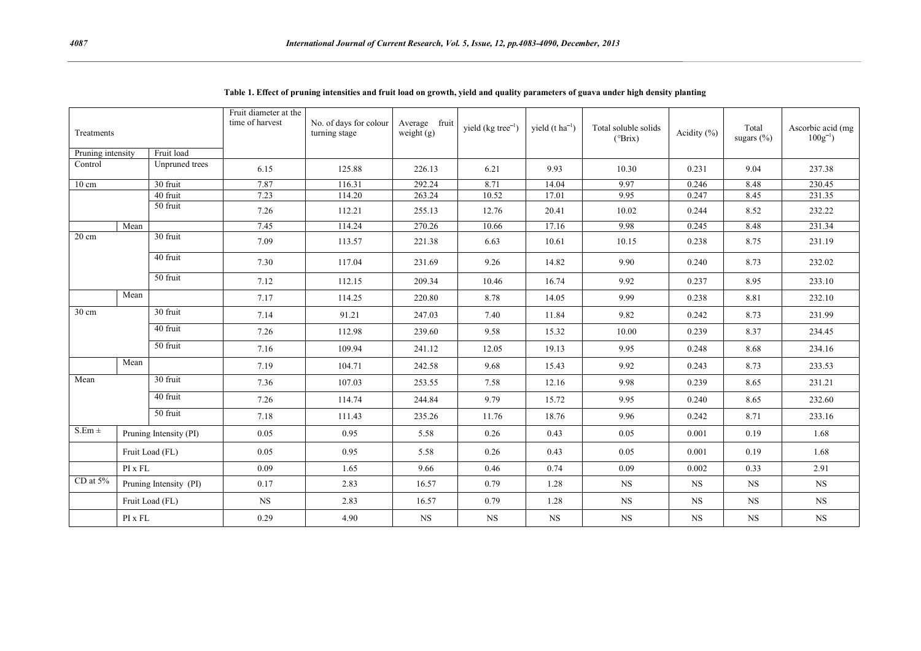| Treatments        |                        | Fruit diameter at the<br>time of harvest | No. of days for colour<br>turning stage | Average fruit<br>weight $(g)$ | yield $(kg tree^{-1})$ | yield $(t \text{ ha}^{-1})$ | Total soluble solids<br>$(^{\circ}Brix)$ | Acidity (%) | Total<br>sugars (%) | Ascorbic acid (mg<br>$100g^{-1}$ |             |
|-------------------|------------------------|------------------------------------------|-----------------------------------------|-------------------------------|------------------------|-----------------------------|------------------------------------------|-------------|---------------------|----------------------------------|-------------|
| Pruning intensity |                        | Fruit load                               |                                         |                               |                        |                             |                                          |             |                     |                                  |             |
| Control           |                        | Unpruned trees                           | 6.15                                    | 125.88                        | 226.13                 | 6.21                        | 9.93                                     | 10.30       | 0.231               | 9.04                             | 237.38      |
| $10 \text{ cm}$   |                        | 30 fruit                                 | 7.87                                    | 116.31                        | 292.24                 | 8.71                        | 14.04                                    | 9.97        | 0.246               | 8.48                             | 230.45      |
|                   |                        | 40 fruit                                 | 7.23                                    | 114.20                        | 263.24                 | 10.52                       | 17.01                                    | 9.95        | 0.247               | 8.45                             | 231.35      |
|                   |                        | 50 fruit                                 | 7.26                                    | 112.21                        | 255.13                 | 12.76                       | 20.41                                    | 10.02       | 0.244               | 8.52                             | 232.22      |
|                   | Mean                   |                                          | 7.45                                    | 114.24                        | 270.26                 | 10.66                       | 17.16                                    | 9.98        | 0.245               | 8.48                             | 231.34      |
| 20 cm             |                        | 30 fruit                                 | 7.09                                    | 113.57                        | 221.38                 | 6.63                        | 10.61                                    | 10.15       | 0.238               | 8.75                             | 231.19      |
|                   |                        | 40 fruit                                 | 7.30                                    | 117.04                        | 231.69                 | 9.26                        | 14.82                                    | 9.90        | 0.240               | 8.73                             | 232.02      |
|                   |                        | 50 fruit                                 | 7.12                                    | 112.15                        | 209.34                 | 10.46                       | 16.74                                    | 9.92        | 0.237               | 8.95                             | 233.10      |
|                   | Mean                   |                                          | 7.17                                    | 114.25                        | 220.80                 | 8.78                        | 14.05                                    | 9.99        | 0.238               | 8.81                             | 232.10      |
| 30 cm             |                        | 30 fruit                                 | 7.14                                    | 91.21                         | 247.03                 | 7.40                        | 11.84                                    | 9.82        | 0.242               | 8.73                             | 231.99      |
|                   |                        | 40 fruit                                 | 7.26                                    | 112.98                        | 239.60                 | 9.58                        | 15.32                                    | 10.00       | 0.239               | 8.37                             | 234.45      |
|                   |                        | 50 fruit                                 | 7.16                                    | 109.94                        | 241.12                 | 12.05                       | 19.13                                    | 9.95        | 0.248               | 8.68                             | 234.16      |
|                   | Mean                   |                                          | 7.19                                    | 104.71                        | 242.58                 | 9.68                        | 15.43                                    | 9.92        | 0.243               | 8.73                             | 233.53      |
| Mean              |                        | 30 fruit                                 | 7.36                                    | 107.03                        | 253.55                 | 7.58                        | 12.16                                    | 9.98        | 0.239               | 8.65                             | 231.21      |
|                   |                        | 40 fruit                                 | 7.26                                    | 114.74                        | 244.84                 | 9.79                        | 15.72                                    | 9.95        | 0.240               | 8.65                             | 232.60      |
|                   |                        | 50 fruit                                 | 7.18                                    | 111.43                        | 235.26                 | 11.76                       | 18.76                                    | 9.96        | 0.242               | 8.71                             | 233.16      |
| $S.Em \pm$        | Pruning Intensity (PI) |                                          | 0.05                                    | 0.95                          | 5.58                   | 0.26                        | 0.43                                     | 0.05        | 0.001               | 0.19                             | 1.68        |
|                   |                        | Fruit Load (FL)                          | 0.05                                    | 0.95                          | 5.58                   | 0.26                        | 0.43                                     | 0.05        | 0.001               | 0.19                             | 1.68        |
|                   | PI x FL                |                                          | 0.09                                    | 1.65                          | 9.66                   | 0.46                        | 0.74                                     | 0.09        | 0.002               | 0.33                             | 2.91        |
| CD at 5%          |                        | Pruning Intensity (PI)                   | 0.17                                    | 2.83                          | 16.57                  | 0.79                        | 1.28                                     | <b>NS</b>   | <b>NS</b>           | $_{\rm NS}$                      | <b>NS</b>   |
|                   |                        | Fruit Load (FL)                          | $_{\rm NS}$                             | 2.83                          | 16.57                  | 0.79                        | 1.28                                     | <b>NS</b>   | <b>NS</b>           | <b>NS</b>                        | <b>NS</b>   |
|                   | $\rm{PI}$ x $\rm{FL}$  |                                          | 0.29                                    | 4.90                          | <b>NS</b>              | $_{\rm NS}$                 | $_{\rm NS}$                              | <b>NS</b>   | <b>NS</b>           | <b>NS</b>                        | $_{\rm NS}$ |

Table 1. Effect of pruning intensities and fruit load on growth, yield and quality parameters of guava under high density planting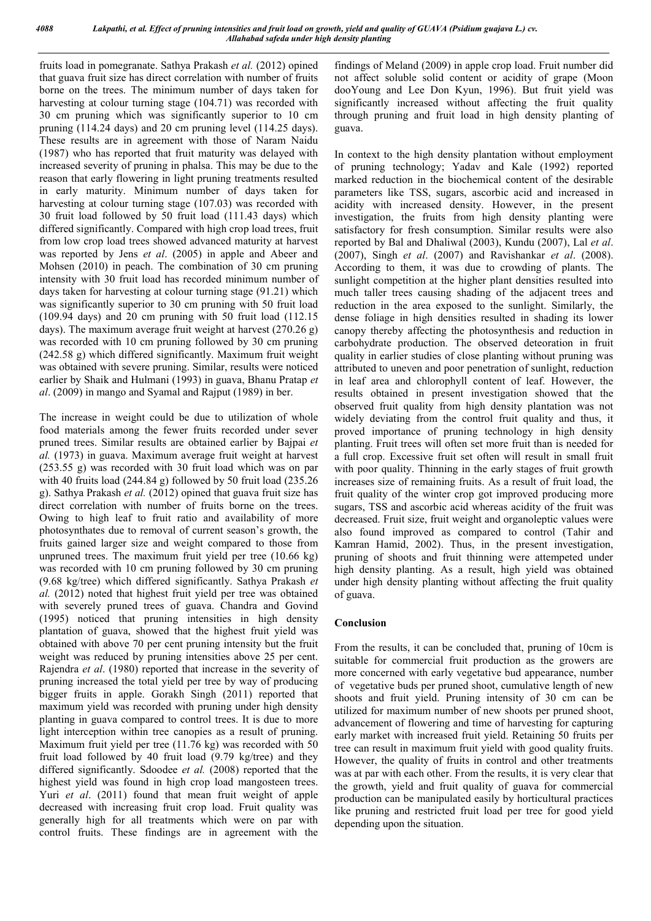fruits load in pomegranate. Sathya Prakash *et al.* (2012) opined that guava fruit size has direct correlation with number of fruits borne on the trees. The minimum number of days taken for harvesting at colour turning stage (104.71) was recorded with 30 cm pruning which was significantly superior to 10 cm pruning (114.24 days) and 20 cm pruning level (114.25 days). These results are in agreement with those of Naram Naidu (1987) who has reported that fruit maturity was delayed with increased severity of pruning in phalsa. This may be due to the reason that early flowering in light pruning treatments resulted in early maturity. Minimum number of days taken for harvesting at colour turning stage (107.03) was recorded with 30 fruit load followed by 50 fruit load (111.43 days) which differed significantly. Compared with high crop load trees, fruit from low crop load trees showed advanced maturity at harvest was reported by Jens *et al*. (2005) in apple and Abeer and Mohsen (2010) in peach. The combination of 30 cm pruning intensity with 30 fruit load has recorded minimum number of days taken for harvesting at colour turning stage (91.21) which was significantly superior to 30 cm pruning with 50 fruit load (109.94 days) and 20 cm pruning with 50 fruit load (112.15 days). The maximum average fruit weight at harvest (270.26 g) was recorded with 10 cm pruning followed by 30 cm pruning (242.58 g) which differed significantly. Maximum fruit weight was obtained with severe pruning. Similar, results were noticed earlier by Shaik and Hulmani (1993) in guava, Bhanu Pratap *et al*. (2009) in mango and Syamal and Rajput (1989) in ber.

The increase in weight could be due to utilization of whole food materials among the fewer fruits recorded under sever pruned trees. Similar results are obtained earlier by Bajpai *et al.* (1973) in guava. Maximum average fruit weight at harvest (253.55 g) was recorded with 30 fruit load which was on par with 40 fruits load (244.84 g) followed by 50 fruit load (235.26 g). Sathya Prakash *et al.* (2012) opined that guava fruit size has direct correlation with number of fruits borne on the trees. Owing to high leaf to fruit ratio and availability of more photosynthates due to removal of current season's growth, the fruits gained larger size and weight compared to those from unpruned trees. The maximum fruit yield per tree (10.66 kg) was recorded with 10 cm pruning followed by 30 cm pruning (9.68 kg/tree) which differed significantly. Sathya Prakash *et al.* (2012) noted that highest fruit yield per tree was obtained with severely pruned trees of guava. Chandra and Govind (1995) noticed that pruning intensities in high density plantation of guava, showed that the highest fruit yield was obtained with above 70 per cent pruning intensity but the fruit weight was reduced by pruning intensities above 25 per cent. Rajendra *et al*. (1980) reported that increase in the severity of pruning increased the total yield per tree by way of producing bigger fruits in apple. Gorakh Singh (2011) reported that maximum yield was recorded with pruning under high density planting in guava compared to control trees. It is due to more light interception within tree canopies as a result of pruning. Maximum fruit yield per tree (11.76 kg) was recorded with 50 fruit load followed by 40 fruit load (9.79 kg/tree) and they differed significantly. Sdoodee *et al.* (2008) reported that the highest yield was found in high crop load mangosteen trees. Yuri *et al*. (2011) found that mean fruit weight of apple decreased with increasing fruit crop load. Fruit quality was generally high for all treatments which were on par with control fruits. These findings are in agreement with the

findings of Meland (2009) in apple crop load. Fruit number did not affect soluble solid content or acidity of grape (Moon dooYoung and Lee Don Kyun, 1996). But fruit yield was significantly increased without affecting the fruit quality through pruning and fruit load in high density planting of guava.

In context to the high density plantation without employment of pruning technology; Yadav and Kale (1992) reported marked reduction in the biochemical content of the desirable parameters like TSS, sugars, ascorbic acid and increased in acidity with increased density. However, in the present investigation, the fruits from high density planting were satisfactory for fresh consumption. Similar results were also reported by Bal and Dhaliwal (2003), Kundu (2007), Lal *et al*. (2007), Singh *et al*. (2007) and Ravishankar *et al*. (2008). According to them, it was due to crowding of plants. The sunlight competition at the higher plant densities resulted into much taller trees causing shading of the adjacent trees and reduction in the area exposed to the sunlight. Similarly, the dense foliage in high densities resulted in shading its lower canopy thereby affecting the photosynthesis and reduction in carbohydrate production. The observed deteoration in fruit quality in earlier studies of close planting without pruning was attributed to uneven and poor penetration of sunlight, reduction in leaf area and chlorophyll content of leaf. However, the results obtained in present investigation showed that the observed fruit quality from high density plantation was not widely deviating from the control fruit quality and thus, it proved importance of pruning technology in high density planting. Fruit trees will often set more fruit than is needed for a full crop. Excessive fruit set often will result in small fruit with poor quality. Thinning in the early stages of fruit growth increases size of remaining fruits. As a result of fruit load, the fruit quality of the winter crop got improved producing more sugars, TSS and ascorbic acid whereas acidity of the fruit was decreased. Fruit size, fruit weight and organoleptic values were also found improved as compared to control (Tahir and Kamran Hamid, 2002). Thus, in the present investigation, pruning of shoots and fruit thinning were attempeted under high density planting. As a result, high yield was obtained under high density planting without affecting the fruit quality of guava.

#### Conclusion

From the results, it can be concluded that, pruning of 10cm is suitable for commercial fruit production as the growers are more concerned with early vegetative bud appearance, number of vegetative buds per pruned shoot, cumulative length of new shoots and fruit yield. Pruning intensity of 30 cm can be utilized for maximum number of new shoots per pruned shoot, advancement of flowering and time of harvesting for capturing early market with increased fruit yield. Retaining 50 fruits per tree can result in maximum fruit yield with good quality fruits. However, the quality of fruits in control and other treatments was at par with each other. From the results, it is very clear that the growth, yield and fruit quality of guava for commercial production can be manipulated easily by horticultural practices like pruning and restricted fruit load per tree for good yield depending upon the situation.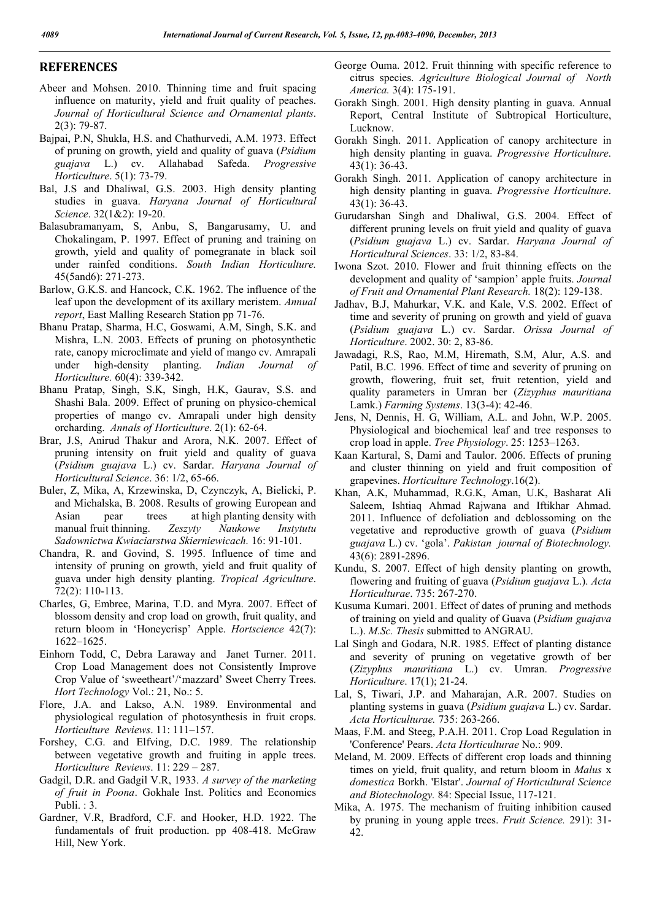#### **REFERENCES**

- Abeer and Mohsen. 2010. Thinning time and fruit spacing influence on maturity, yield and fruit quality of peaches. *Journal of Horticultural Science and Ornamental plants*. 2(3): 79-87.
- Bajpai, P.N, Shukla, H.S. and Chathurvedi, A.M. 1973. Effect of pruning on growth, yield and quality of guava (*Psidium guajava* L.) cv. Allahabad Safeda. *Progressive Horticulture*. 5(1): 73-79.
- Bal, J.S and Dhaliwal, G.S. 2003. High density planting studies in guava. *Haryana Journal of Horticultural Science*. 32(1&2): 19-20.
- Balasubramanyam, S, Anbu, S, Bangarusamy, U. and Chokalingam, P. 1997. Effect of pruning and training on growth, yield and quality of pomegranate in black soil under rainfed conditions. *South Indian Horticulture.* 45(5and6): 271-273.
- Barlow, G.K.S. and Hancock, C.K. 1962. The influence of the leaf upon the development of its axillary meristem. *Annual report*, East Malling Research Station pp 71-76.
- Bhanu Pratap, Sharma, H.C, Goswami, A.M, Singh, S.K. and Mishra, L.N. 2003. Effects of pruning on photosynthetic rate, canopy microclimate and yield of mango cv. Amrapali under high-density planting. *Indian Journal of Horticulture.* 60(4): 339-342.
- Bhanu Pratap, Singh, S.K, Singh, H.K, Gaurav, S.S. and Shashi Bala. 2009. Effect of pruning on physico-chemical properties of mango cv. Amrapali under high density orcharding. *Annals of Horticulture*. 2(1): 62-64.
- Brar, J.S, Anirud Thakur and Arora, N.K. 2007. Effect of pruning intensity on fruit yield and quality of guava (*Psidium guajava* L.) cv. Sardar. *Haryana Journal of Horticultural Science*. 36: 1/2, 65-66.
- Buler, Z, Mika, A, Krzewinska, D, Czynczyk, A, Bielicki, P. and Michalska, B. 2008. Results of growing European and Asian pear trees at high planting density with manual fruit thinning. *Zeszyty Naukowe Instytutu Sadownictwa Kwiaciarstwa Skierniewicach.* 16: 91-101.
- Chandra, R. and Govind, S. 1995. Influence of time and intensity of pruning on growth, yield and fruit quality of guava under high density planting. *Tropical Agriculture*. 72(2): 110-113.
- Charles, G, Embree, Marina, T.D. and Myra. 2007. Effect of blossom density and crop load on growth, fruit quality, and return bloom in 'Honeycrisp' Apple. *Hortscience* 42(7): 1622–1625.
- Einhorn Todd, C, Debra Laraway and Janet Turner. 2011. Crop Load Management does not Consistently Improve Crop Value of 'sweetheart'/'mazzard' Sweet Cherry Trees. *Hort Technology* Vol.: 21, No.: 5.
- Flore, J.A. and Lakso, A.N. 1989. Environmental and physiological regulation of photosynthesis in fruit crops. *Horticulture Reviews*. 11: 111–157.
- Forshey, C.G. and Elfving, D.C. 1989. The relationship between vegetative growth and fruiting in apple trees. *Horticulture Reviews*. 11: 229 – 287.
- Gadgil, D.R. and Gadgil V.R, 1933. *A survey of the marketing of fruit in Poona*. Gokhale Inst. Politics and Economics Publi. : 3.
- Gardner, V.R, Bradford, C.F. and Hooker, H.D. 1922. The fundamentals of fruit production. pp 408-418. McGraw Hill, New York.
- George Ouma. 2012. Fruit thinning with specific reference to citrus species. *Agriculture Biological Journal of North America.* 3(4): 175-191.
- Gorakh Singh. 2001. High density planting in guava. Annual Report, Central Institute of Subtropical Horticulture, Lucknow.
- Gorakh Singh. 2011. Application of canopy architecture in high density planting in guava. *Progressive Horticulture*. 43(1): 36-43.
- Gorakh Singh. 2011. Application of canopy architecture in high density planting in guava. *Progressive Horticulture*. 43(1): 36-43.
- Gurudarshan Singh and Dhaliwal, G.S. 2004. Effect of different pruning levels on fruit yield and quality of guava (*Psidium guajava* L.) cv. Sardar. *Haryana Journal of Horticultural Sciences*. 33: 1/2, 83-84.
- Iwona Szot. 2010. Flower and fruit thinning effects on the development and quality of 'sampion' apple fruits. *Journal of Fruit and Ornamental Plant Research.* 18(2): 129-138.
- Jadhav, B.J, Mahurkar, V.K. and Kale, V.S. 2002. Effect of time and severity of pruning on growth and yield of guava (*Psidium guajava* L.) cv. Sardar. *Orissa Journal of Horticulture*. 2002. 30: 2, 83-86.
- Jawadagi, R.S, Rao, M.M, Hiremath, S.M, Alur, A.S. and Patil, B.C. 1996. Effect of time and severity of pruning on growth, flowering, fruit set, fruit retention, yield and quality parameters in Umran ber (*Zizyphus mauritiana* Lamk.) *Farming Systems*. 13(3-4): 42-46.
- Jens, N, Dennis, H. G, William, A.L. and John, W.P. 2005. Physiological and biochemical leaf and tree responses to crop load in apple. *Tree Physiology*. 25: 1253–1263.
- Kaan Kartural, S, Dami and Taulor. 2006. Effects of pruning and cluster thinning on yield and fruit composition of grapevines. *Horticulture Technology*.16(2).
- Khan, A.K, Muhammad, R.G.K, Aman, U.K, Basharat Ali Saleem, Ishtiaq Ahmad Rajwana and Iftikhar Ahmad. 2011. Influence of defoliation and deblossoming on the vegetative and reproductive growth of guava (*Psidium guajava* L.) cv. 'gola'. *Pakistan journal of Biotechnology.*  43(6): 2891-2896.
- Kundu, S. 2007. Effect of high density planting on growth, flowering and fruiting of guava (*Psidium guajava* L.). *Acta Horticulturae*. 735: 267-270.
- Kusuma Kumari. 2001. Effect of dates of pruning and methods of training on yield and quality of Guava (*Psidium guajava* L.). *M.Sc. Thesis* submitted to ANGRAU.
- Lal Singh and Godara, N.R. 1985. Effect of planting distance and severity of pruning on vegetative growth of ber (*Zizyphus mauritiana* L.) cv. Umran. *Progressive Horticulture*. 17(1); 21-24.
- Lal, S, Tiwari, J.P. and Maharajan, A.R. 2007. Studies on planting systems in guava (*Psidium guajava* L.) cv. Sardar. *Acta Horticulturae.* 735: 263-266.
- Maas, F.M. and Steeg, P.A.H. 2011. Crop Load Regulation in 'Conference' Pears. *Acta Horticulturae* No.: 909.
- Meland, M. 2009. Effects of different crop loads and thinning times on yield, fruit quality, and return bloom in *Malus* x *domestica* Borkh. 'Elstar'. *Journal of Horticultural Science and Biotechnology.* 84: Special Issue, 117-121.
- Mika, A. 1975. The mechanism of fruiting inhibition caused by pruning in young apple trees. *Fruit Science.* 291): 31- 42.